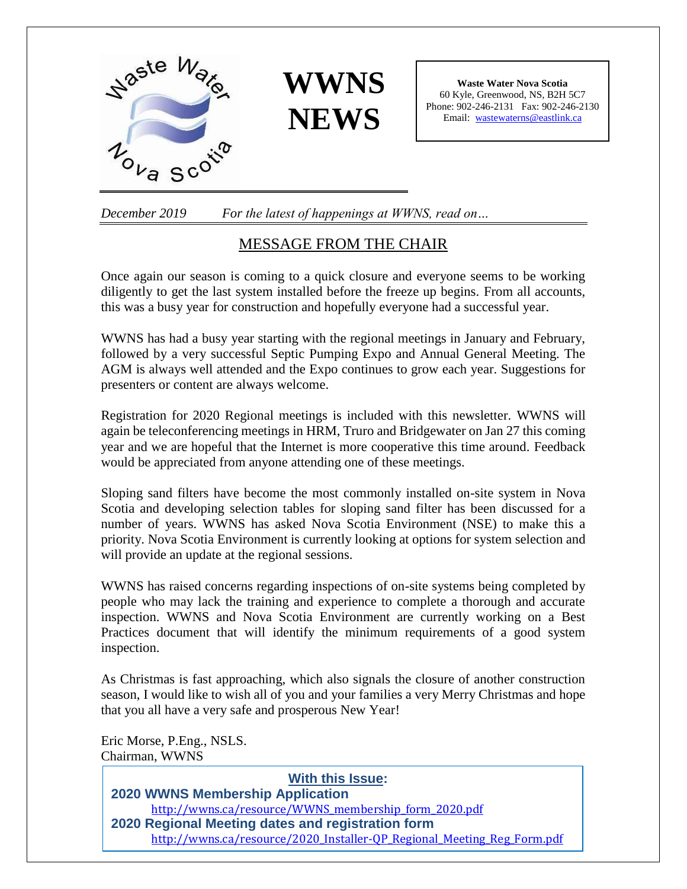



**Waste Water Nova Scotia** 60 Kyle, Greenwood, NS, B2H 5C7 Phone: 902-246-2131 Fax: 902-246-2130 Email: [wastewaterns@eastlink.ca](mailto:wastewaterns@eastlink.ca)

*December 2019 For the latest of happenings at WWNS, read on…*

### MESSAGE FROM THE CHAIR

Once again our season is coming to a quick closure and everyone seems to be working diligently to get the last system installed before the freeze up begins. From all accounts, this was a busy year for construction and hopefully everyone had a successful year.

WWNS has had a busy year starting with the regional meetings in January and February, followed by a very successful Septic Pumping Expo and Annual General Meeting. The AGM is always well attended and the Expo continues to grow each year. Suggestions for presenters or content are always welcome.

Registration for 2020 Regional meetings is included with this newsletter. WWNS will again be teleconferencing meetings in HRM, Truro and Bridgewater on Jan 27 this coming year and we are hopeful that the Internet is more cooperative this time around. Feedback would be appreciated from anyone attending one of these meetings.

Sloping sand filters have become the most commonly installed on-site system in Nova Scotia and developing selection tables for sloping sand filter has been discussed for a number of years. WWNS has asked Nova Scotia Environment (NSE) to make this a priority. Nova Scotia Environment is currently looking at options for system selection and will provide an update at the regional sessions.

WWNS has raised concerns regarding inspections of on-site systems being completed by people who may lack the training and experience to complete a thorough and accurate inspection. WWNS and Nova Scotia Environment are currently working on a Best Practices document that will identify the minimum requirements of a good system inspection.

As Christmas is fast approaching, which also signals the closure of another construction season, I would like to wish all of you and your families a very Merry Christmas and hope that you all have a very safe and prosperous New Year!

Eric Morse, P.Eng., NSLS. Chairman, WWNS

#### **With this Issue: 2020 WWNS Membership Application** http://wwns.ca/resource/WWNS\_membership\_form\_2020.pdf **2020 Regional Meeting dates and registration form** http://wwns.ca/resource/2020\_Installer-QP\_Regional\_Meeting\_Reg\_Form.pdf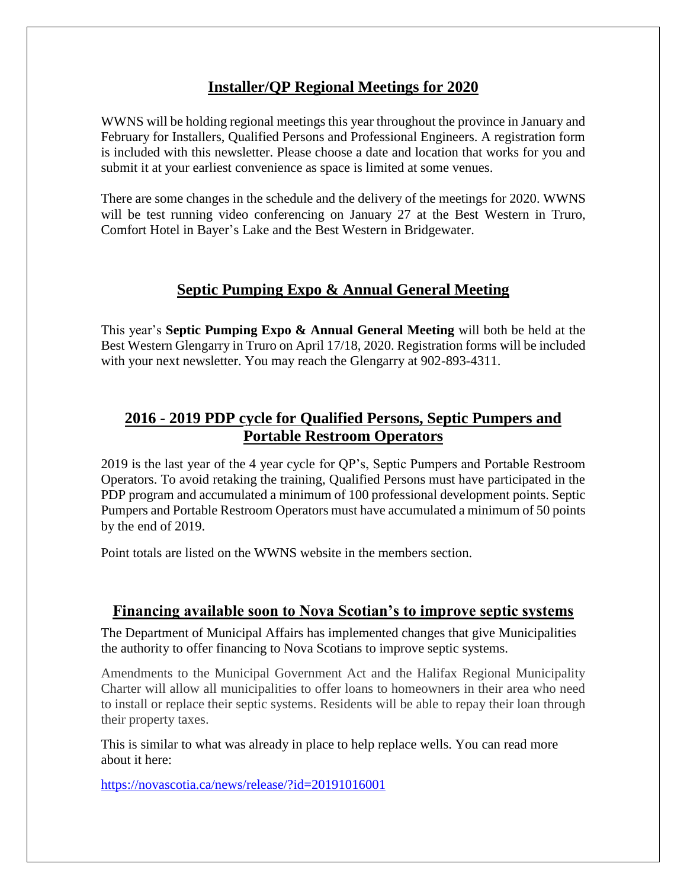## **Installer/QP Regional Meetings for 2020**

WWNS will be holding regional meetings this year throughout the province in January and February for Installers, Qualified Persons and Professional Engineers. A registration form is included with this newsletter. Please choose a date and location that works for you and submit it at your earliest convenience as space is limited at some venues.

There are some changes in the schedule and the delivery of the meetings for 2020. WWNS will be test running video conferencing on January 27 at the Best Western in Truro, Comfort Hotel in Bayer's Lake and the Best Western in Bridgewater.

## **Septic Pumping Expo & Annual General Meeting**

This year's **Septic Pumping Expo & Annual General Meeting** will both be held at the Best Western Glengarry in Truro on April 17/18, 2020. Registration forms will be included with your next newsletter. You may reach the Glengarry at 902-893-4311.

## **2016 - 2019 PDP cycle for Qualified Persons, Septic Pumpers and Portable Restroom Operators**

2019 is the last year of the 4 year cycle for QP's, Septic Pumpers and Portable Restroom Operators. To avoid retaking the training, Qualified Persons must have participated in the PDP program and accumulated a minimum of 100 professional development points. Septic Pumpers and Portable Restroom Operators must have accumulated a minimum of 50 points by the end of 2019.

Point totals are listed on the WWNS website in the members section.

#### **Financing available soon to Nova Scotian's to improve septic systems**

The Department of Municipal Affairs has implemented changes that give Municipalities the authority to offer financing to Nova Scotians to improve septic systems.

Amendments to the Municipal Government Act and the Halifax Regional Municipality Charter will allow all municipalities to offer loans to homeowners in their area who need to install or replace their septic systems. Residents will be able to repay their loan through their property taxes.

This is similar to what was already in place to help replace wells. You can read more about it here:

<https://novascotia.ca/news/release/?id=20191016001>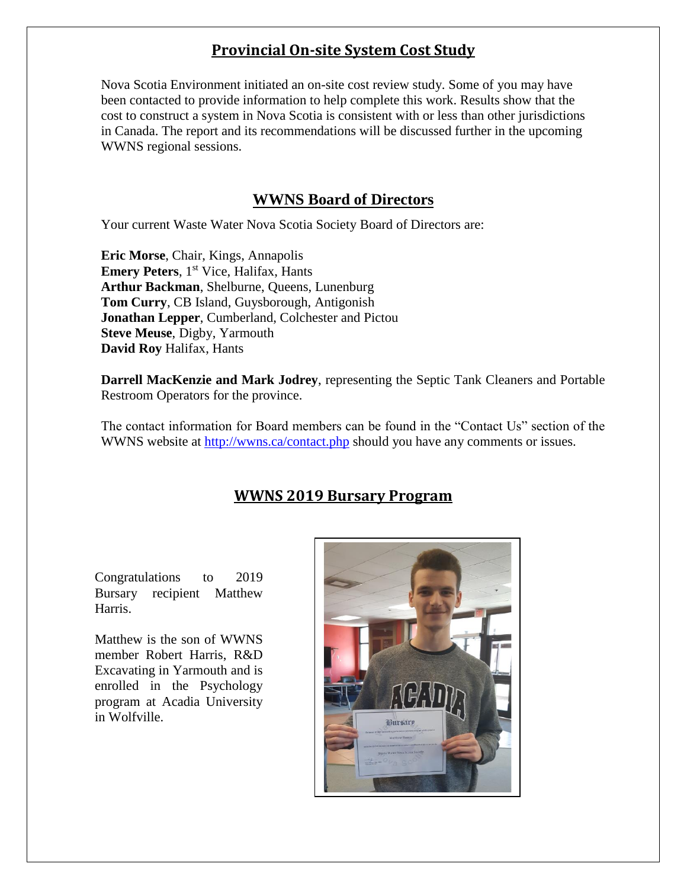# **Provincial On-site System Cost Study**

Nova Scotia Environment initiated an on-site cost review study. Some of you may have been contacted to provide information to help complete this work. Results show that the cost to construct a system in Nova Scotia is consistent with or less than other jurisdictions in Canada. The report and its recommendations will be discussed further in the upcoming WWNS regional sessions.

# **WWNS Board of Directors**

Your current Waste Water Nova Scotia Society Board of Directors are:

**Eric Morse**, Chair, Kings, Annapolis **Emery Peters**, 1<sup>st</sup> Vice, Halifax, Hants **Arthur Backman**, Shelburne, Queens, Lunenburg **Tom Curry**, CB Island, Guysborough, Antigonish **Jonathan Lepper**, Cumberland, Colchester and Pictou **Steve Meuse**, Digby, Yarmouth **David Roy** Halifax, Hants

**Darrell MacKenzie and Mark Jodrey**, representing the Septic Tank Cleaners and Portable Restroom Operators for the province.

The contact information for Board members can be found in the "Contact Us" section of the WWNS website at<http://wwns.ca/contact.php> should you have any comments or issues.

# **WWNS 2019 Bursary Program**

Congratulations to 2019 Bursary recipient Matthew Harris.

Matthew is the son of WWNS member Robert Harris, R&D Excavating in Yarmouth and is enrolled in the Psychology program at Acadia University in Wolfville.